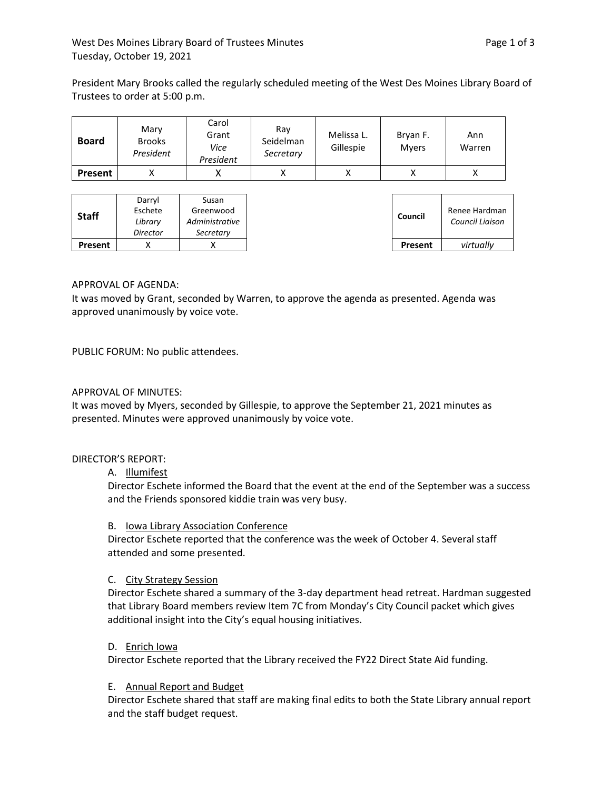President Mary Brooks called the regularly scheduled meeting of the West Des Moines Library Board of Trustees to order at 5:00 p.m.

| <b>Board</b> | Mary<br><b>Brooks</b><br>President | Carol<br>Grant<br>Vice<br>President | Ray<br>Seidelman<br>Secretary | Melissa L.<br>Gillespie | Bryan F.<br><b>Myers</b> | Ann<br>Warren |
|--------------|------------------------------------|-------------------------------------|-------------------------------|-------------------------|--------------------------|---------------|
| Present      |                                    |                                     |                               |                         |                          |               |

# APPROVAL OF AGENDA:

It was moved by Grant, seconded by Warren, to approve the agenda as presented. Agenda was approved unanimously by voice vote.

PUBLIC FORUM: No public attendees.

# APPROVAL OF MINUTES:

It was moved by Myers, seconded by Gillespie, to approve the September 21, 2021 minutes as presented. Minutes were approved unanimously by voice vote.

## DIRECTOR'S REPORT:

## A. Illumifest

Director Eschete informed the Board that the event at the end of the September was a success and the Friends sponsored kiddie train was very busy.

## B. Iowa Library Association Conference

Director Eschete reported that the conference was the week of October 4. Several staff attended and some presented.

# C. City Strategy Session

Director Eschete shared a summary of the 3-day department head retreat. Hardman suggested that Library Board members review Item 7C from Monday's City Council packet which gives additional insight into the City's equal housing initiatives.

## D. Enrich Iowa

Director Eschete reported that the Library received the FY22 Direct State Aid funding.

## E. Annual Report and Budget

Director Eschete shared that staff are making final edits to both the State Library annual report and the staff budget request.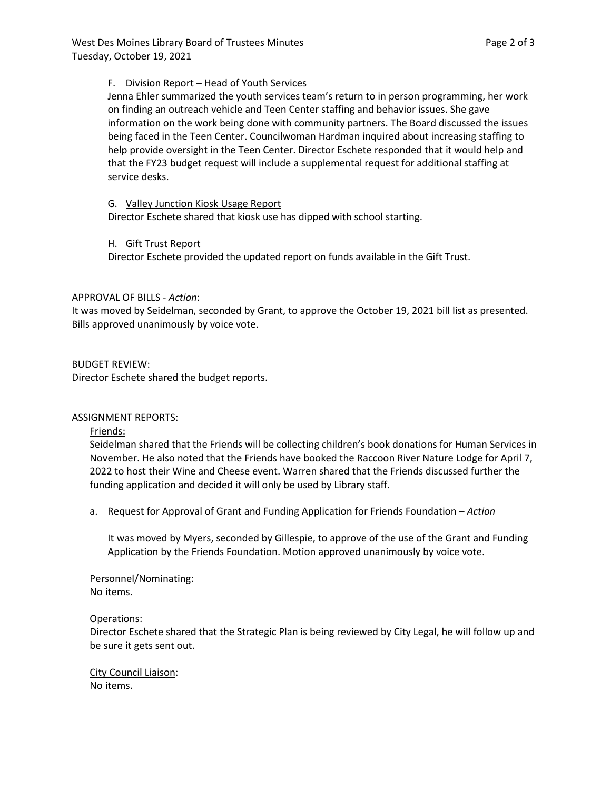## F. Division Report – Head of Youth Services

Jenna Ehler summarized the youth services team's return to in person programming, her work on finding an outreach vehicle and Teen Center staffing and behavior issues. She gave information on the work being done with community partners. The Board discussed the issues being faced in the Teen Center. Councilwoman Hardman inquired about increasing staffing to help provide oversight in the Teen Center. Director Eschete responded that it would help and that the FY23 budget request will include a supplemental request for additional staffing at service desks.

# G. Valley Junction Kiosk Usage Report

Director Eschete shared that kiosk use has dipped with school starting.

# H. Gift Trust Report

Director Eschete provided the updated report on funds available in the Gift Trust.

# APPROVAL OF BILLS - *Action*:

It was moved by Seidelman, seconded by Grant, to approve the October 19, 2021 bill list as presented. Bills approved unanimously by voice vote.

# BUDGET REVIEW:

Director Eschete shared the budget reports.

## ASSIGNMENT REPORTS:

Friends:

Seidelman shared that the Friends will be collecting children's book donations for Human Services in November. He also noted that the Friends have booked the Raccoon River Nature Lodge for April 7, 2022 to host their Wine and Cheese event. Warren shared that the Friends discussed further the funding application and decided it will only be used by Library staff.

a. Request for Approval of Grant and Funding Application for Friends Foundation – *Action*

It was moved by Myers, seconded by Gillespie, to approve of the use of the Grant and Funding Application by the Friends Foundation. Motion approved unanimously by voice vote.

Personnel/Nominating: No items.

## Operations:

Director Eschete shared that the Strategic Plan is being reviewed by City Legal, he will follow up and be sure it gets sent out.

City Council Liaison: No items.